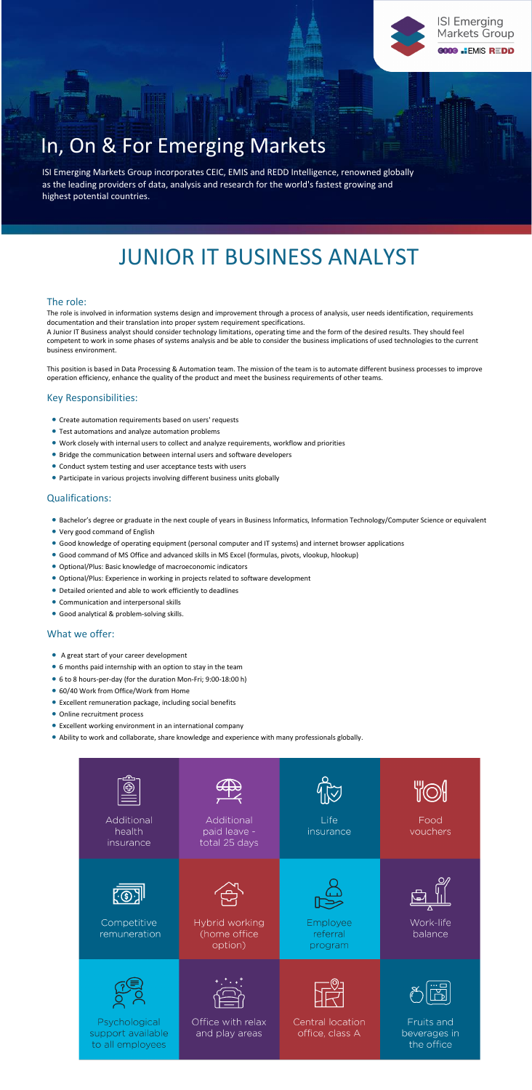#### The role:

The role is involved in information systems design and improvement through a process of analysis, user needs identification, requirements documentation and their translation into proper system requirement specifications.

A Junior IT Business analyst should consider technology limitations, operating time and the form of the desired results. They should feel competent to work in some phases of systems analysis and be able to consider the business implications of used technologies to the current business environment.

This position is based in Data Processing & Automation team. The mission of the team is to automate different business processes to improve operation efficiency, enhance the quality of the product and meet the business requirements of other teams.

### Key Responsibilities:

- Create automation requirements based on users' requests
- Test automations and analyze automation problems
- Work closely with internal users to collect and analyze requirements, workflow and priorities
- Bridge the communication between internal users and software developers
- Conduct system testing and user acceptance tests with users
- Participate in various projects involving different business units globally

# Qualifications:

- Bachelor's degree or graduate in the next couple of years in Business Informatics, Information Technology/Computer Science or equivalent
- Very good command of English
- Good knowledge of operating equipment (personal computer and IT systems) and internet browser applications
- Good command of MS Office and advanced skills in MS Excel (formulas, pivots, vlookup, hlookup)
- Optional/Plus: Basic knowledge of macroeconomic indicators
- Optional/Plus: Experience in working in projects related to software development
- Detailed oriented and able to work efficiently to deadlines
- Communication and interpersonal skills
- Good analytical & problem-solving skills.

# What we offer:

- A great start of your career development
- 6 months paid internship with an option to stay in the team
- 6 to 8 hours-per-day (for the duration Mon-Fri; 9:00-18:00 h)
- 60/40 Work from Office/Work from Home
- Excellent remuneration package, including social benefits
- Online recruitment process
- Excellent working environment in an international company
- Ability to work and collaborate, share knowledge and experience with many professionals globally.







# In, On & For Emerging Markets

ISI Emerging Markets Group incorporates CEIC, EMIS and REDD Intelligence, renowned globally as the leading providers of data, analysis and research for the world's fastest growing and highest potential countries.

# JUNIOR IT BUSINESS ANALYST